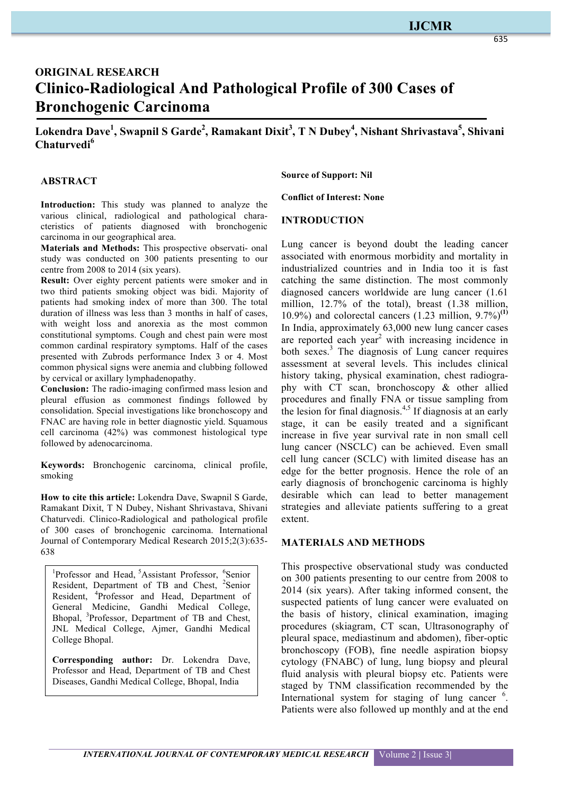# **IJCMR**

# **ORIGINAL RESEARCH Clinico-Radiological And Pathological Profile of 300 Cases of Bronchogenic Carcinoma**

 $\bf{L}$ okendra Dave<sup>1</sup>, Swapnil S Garde<sup>2</sup>, Ramakant Dixit<sup>3</sup>, T N Dubey<sup>4</sup>, Nishant Shrivastava<sup>5</sup>, Shivani **Chaturvedi6**

#### **ABSTRACT**

**Introduction:** This study was planned to analyze the various clinical, radiological and pathological characteristics of patients diagnosed with bronchogenic carcinoma in our geographical area.

**Materials and Methods:** This prospective observati- onal study was conducted on 300 patients presenting to our centre from 2008 to 2014 (six years).

**Result:** Over eighty percent patients were smoker and in two third patients smoking object was bidi. Majority of patients had smoking index of more than 300. The total duration of illness was less than 3 months in half of cases, with weight loss and anorexia as the most common constitutional symptoms. Cough and chest pain were most common cardinal respiratory symptoms. Half of the cases presented with Zubrods performance Index 3 or 4. Most common physical signs were anemia and clubbing followed by cervical or axillary lymphadenopathy.

**Conclusion:** The radio-imaging confirmed mass lesion and pleural effusion as commonest findings followed by consolidation. Special investigations like bronchoscopy and FNAC are having role in better diagnostic yield. Squamous cell carcinoma (42%) was commonest histological type followed by adenocarcinoma.

**Keywords:** Bronchogenic carcinoma, clinical profile, smoking

**How to cite this article:** Lokendra Dave, Swapnil S Garde, Ramakant Dixit, T N Dubey, Nishant Shrivastava, Shivani Chaturvedi. Clinico-Radiological and pathological profile of 300 cases of bronchogenic carcinoma. International Journal of Contemporary Medical Research 2015;2(3):635- 638

<sup>1</sup>Professor and Head, <sup>5</sup>Assistant Professor, <sup>6</sup>Senior Resident, Department of TB and Chest, <sup>2</sup>Senior Resident, <sup>4</sup>Professor and Head, Department of General Medicine, Gandhi Medical College, Bhopal, <sup>3</sup>Professor, Department of TB and Chest, JNL Medical College, Ajmer, Gandhi Medical College Bhopal.

**Corresponding author:** Dr. Lokendra Dave, Professor and Head, Department of TB and Chest Diseases, Gandhi Medical College, Bhopal, India

**Source of Support: Nil**

**Conflict of Interest: None**

#### **INTRODUCTION**

Lung cancer is beyond doubt the leading cancer associated with enormous morbidity and mortality in industrialized countries and in India too it is fast catching the same distinction. The most commonly diagnosed cancers worldwide are lung cancer (1.61 million, 12.7% of the total), breast (1.38 million, 10.9%) and colorectal cancers (1.23 million, 9.7%)**(1)** In India, approximately 63,000 new lung cancer cases are reported each year<sup>2</sup> with increasing incidence in both sexes.<sup>3</sup> The diagnosis of Lung cancer requires assessment at several levels. This includes clinical history taking, physical examination, chest radiography with CT scan, bronchoscopy & other allied procedures and finally FNA or tissue sampling from the lesion for final diagnosis.<sup>4,5</sup> If diagnosis at an early stage, it can be easily treated and a significant increase in five year survival rate in non small cell lung cancer (NSCLC) can be achieved. Even small cell lung cancer (SCLC) with limited disease has an edge for the better prognosis. Hence the role of an early diagnosis of bronchogenic carcinoma is highly desirable which can lead to better management strategies and alleviate patients suffering to a great extent.

#### **MATERIALS AND METHODS**

This prospective observational study was conducted on 300 patients presenting to our centre from 2008 to 2014 (six years). After taking informed consent, the suspected patients of lung cancer were evaluated on the basis of history, clinical examination, imaging procedures (skiagram, CT scan, Ultrasonography of pleural space, mediastinum and abdomen), fiber-optic bronchoscopy (FOB), fine needle aspiration biopsy cytology (FNABC) of lung, lung biopsy and pleural fluid analysis with pleural biopsy etc. Patients were staged by TNM classification recommended by the International system for staging of lung cancer <sup>6</sup>. Patients were also followed up monthly and at the end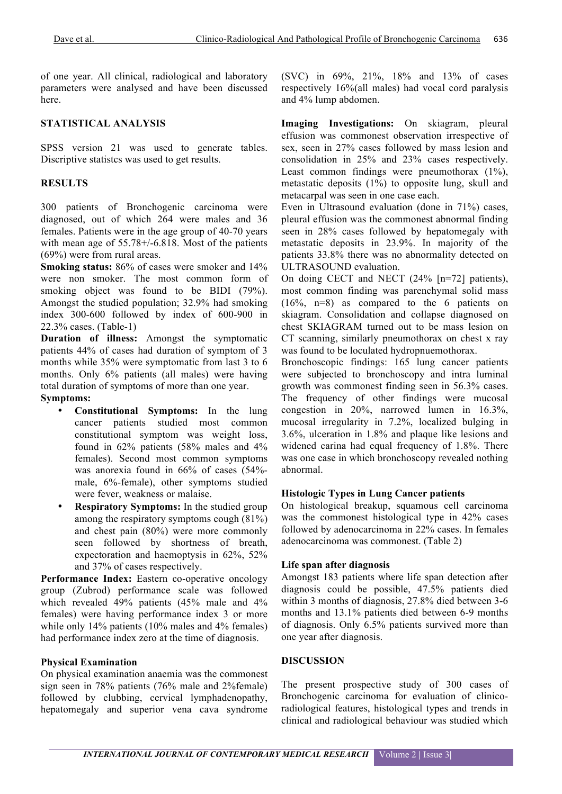of one year. All clinical, radiological and laboratory parameters were analysed and have been discussed here.

### **STATISTICAL ANALYSIS**

SPSS version 21 was used to generate tables. Discriptive statistcs was used to get results.

## **RESULTS**

300 patients of Bronchogenic carcinoma were diagnosed, out of which 264 were males and 36 females. Patients were in the age group of 40-70 years with mean age of 55.78+/-6.818. Most of the patients (69%) were from rural areas.

**Smoking status:** 86% of cases were smoker and 14% were non smoker. The most common form of smoking object was found to be BIDI (79%). Amongst the studied population; 32.9% had smoking index 300-600 followed by index of 600-900 in 22.3% cases. (Table-1)

**Duration of illness:** Amongst the symptomatic patients 44% of cases had duration of symptom of 3 months while 35% were symptomatic from last 3 to 6 months. Only 6% patients (all males) were having total duration of symptoms of more than one year. **Symptoms:**

- **Constitutional Symptoms:** In the lung cancer patients studied most common constitutional symptom was weight loss, found in 62% patients (58% males and 4% females). Second most common symptoms was anorexia found in 66% of cases (54% male, 6%-female), other symptoms studied were fever, weakness or malaise.
- **Respiratory Symptoms:** In the studied group among the respiratory symptoms cough (81%) and chest pain (80%) were more commonly seen followed by shortness of breath, expectoration and haemoptysis in 62%, 52% and 37% of cases respectively.

Performance Index: Eastern co-operative oncology group (Zubrod) performance scale was followed which revealed 49% patients (45% male and 4% females) were having performance index 3 or more while only 14% patients (10% males and 4% females) had performance index zero at the time of diagnosis.

### **Physical Examination**

On physical examination anaemia was the commonest sign seen in 78% patients (76% male and 2%female) followed by clubbing, cervical lymphadenopathy, hepatomegaly and superior vena cava syndrome

(SVC) in 69%, 21%, 18% and 13% of cases respectively 16%(all males) had vocal cord paralysis and 4% lump abdomen.

**Imaging Investigations:** On skiagram, pleural effusion was commonest observation irrespective of sex, seen in 27% cases followed by mass lesion and consolidation in 25% and 23% cases respectively. Least common findings were pneumothorax  $(1\%)$ , metastatic deposits (1%) to opposite lung, skull and metacarpal was seen in one case each.

Even in Ultrasound evaluation (done in 71%) cases, pleural effusion was the commonest abnormal finding seen in 28% cases followed by hepatomegaly with metastatic deposits in 23.9%. In majority of the patients 33.8% there was no abnormality detected on ULTRASOUND evaluation.

On doing CECT and NECT (24% [n=72] patients), most common finding was parenchymal solid mass (16%, n=8) as compared to the 6 patients on skiagram. Consolidation and collapse diagnosed on chest SKIAGRAM turned out to be mass lesion on CT scanning, similarly pneumothorax on chest x ray was found to be loculated hydropnuemothorax.

Bronchoscopic findings: 165 lung cancer patients were subjected to bronchoscopy and intra luminal growth was commonest finding seen in 56.3% cases. The frequency of other findings were mucosal congestion in 20%, narrowed lumen in 16.3%, mucosal irregularity in 7.2%, localized bulging in 3.6%, ulceration in 1.8% and plaque like lesions and widened carina had equal frequency of 1.8%. There was one case in which bronchoscopy revealed nothing abnormal.

#### **Histologic Types in Lung Cancer patients**

On histological breakup, squamous cell carcinoma was the commonest histological type in 42% cases followed by adenocarcinoma in 22% cases. In females adenocarcinoma was commonest. (Table 2)

#### **Life span after diagnosis**

Amongst 183 patients where life span detection after diagnosis could be possible, 47.5% patients died within 3 months of diagnosis, 27.8% died between 3-6 months and 13.1% patients died between 6-9 months of diagnosis. Only 6.5% patients survived more than one year after diagnosis.

#### **DISCUSSION**

The present prospective study of 300 cases of Bronchogenic carcinoma for evaluation of clinicoradiological features, histological types and trends in clinical and radiological behaviour was studied which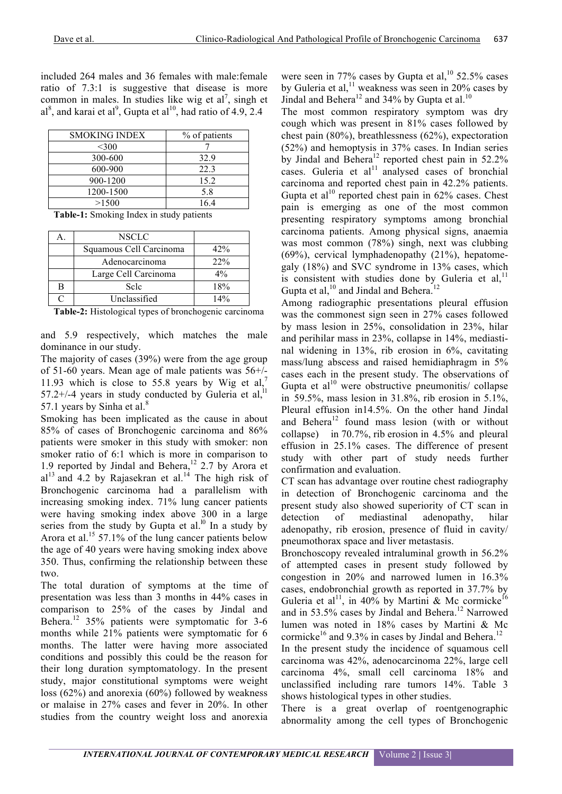included 264 males and 36 females with male:female ratio of 7.3:1 is suggestive that disease is more common in males. In studies like wig et al<sup>7</sup>, singh et al<sup>8</sup>, and karai et al<sup>9</sup>, Gupta et al<sup>10</sup>, had ratio of 4.9, 2.4

| <b>SMOKING INDEX</b> | % of patients |
|----------------------|---------------|
| $<$ 300              |               |
| 300-600              | 32.9          |
| 600-900              | 22.3          |
| 900-1200             | 15.2          |
| 1200-1500            | 5.8           |
| >1500                | 164           |

|  |  | Table-1: Smoking Index in study patients |  |  |  |  |
|--|--|------------------------------------------|--|--|--|--|
|--|--|------------------------------------------|--|--|--|--|

| А. | NSCLC                   |       |
|----|-------------------------|-------|
|    | Squamous Cell Carcinoma | 42%   |
|    | Adenocarcinoma          | 22%   |
|    | Large Cell Carcinoma    | $4\%$ |
| В  | Sele                    | 18%   |
| ⌒  | Unclassified            | 14%   |

**Table-2:** Histological types of bronchogenic carcinoma

and 5.9 respectively, which matches the male dominance in our study.

The majority of cases (39%) were from the age group of 51-60 years. Mean age of male patients was 56+/- 11.93 which is close to 55.8 years by Wig et al,<sup>7</sup> 57.2+/-4 years in study conducted by Guleria et al, $^{11}$ 57.1 years by Sinha et al.<sup>8</sup>

Smoking has been implicated as the cause in about 85% of cases of Bronchogenic carcinoma and 86% patients were smoker in this study with smoker: non smoker ratio of 6:1 which is more in comparison to 1.9 reported by Jindal and Behera,<sup>12</sup> 2.7 by Arora et  $al<sup>13</sup>$  and 4.2 by Rajasekran et al.<sup>14</sup> The high risk of Bronchogenic carcinoma had a parallelism with increasing smoking index. 71% lung cancer patients were having smoking index above 300 in a large series from the study by Gupta et al.<sup>10</sup> In a study by Arora et al.<sup>15</sup> 57.1% of the lung cancer patients below the age of 40 years were having smoking index above 350. Thus, confirming the relationship between these two.

The total duration of symptoms at the time of presentation was less than 3 months in 44% cases in comparison to 25% of the cases by Jindal and Behera.<sup>12</sup> 35% patients were symptomatic for 3-6 months while 21% patients were symptomatic for 6 months. The latter were having more associated conditions and possibly this could be the reason for their long duration symptomatology. In the present study, major constitutional symptoms were weight loss (62%) and anorexia (60%) followed by weakness or malaise in 27% cases and fever in 20%. In other studies from the country weight loss and anorexia

were seen in 77% cases by Gupta et al,  $10$  52.5% cases by Guleria et al,  $11$  weakness was seen in 20% cases by Jindal and Behera<sup>12</sup> and 34% by Gupta et al.<sup>10</sup>

The most common respiratory symptom was dry cough which was present in 81% cases followed by chest pain (80%), breathlessness (62%), expectoration (52%) and hemoptysis in 37% cases. In Indian series by Jindal and Behera<sup>12</sup> reported chest pain in  $52.2\%$ cases. Guleria et al<sup>11</sup> analysed cases of bronchial carcinoma and reported chest pain in 42.2% patients. Gupta et al<sup>10</sup> reported chest pain in  $62\%$  cases. Chest pain is emerging as one of the most common presenting respiratory symptoms among bronchial carcinoma patients. Among physical signs, anaemia was most common (78%) singh, next was clubbing (69%), cervical lymphadenopathy (21%), hepatomegaly (18%) and SVC syndrome in 13% cases, which is consistent with studies done by Guleria et al, $<sup>11</sup>$ </sup> Gupta et al,  $^{10}$  and Jindal and Behera.<sup>12</sup>

Among radiographic presentations pleural effusion was the commonest sign seen in 27% cases followed by mass lesion in 25%, consolidation in 23%, hilar and perihilar mass in 23%, collapse in 14%, mediastinal widening in 13%, rib erosion in 6%, cavitating mass/lung abscess and raised hemidiaphragm in 5% cases each in the present study. The observations of Gupta et  $al^{10}$  were obstructive pneumonitis/ collapse in 59.5%, mass lesion in  $31.8\%$ , rib erosion in  $5.1\%$ , Pleural effusion in14.5%. On the other hand Jindal and Behera<sup>12</sup> found mass lesion (with or without collapse) in 70.7%, rib erosion in 4.5% and pleural effusion in 25.1% cases. The difference of present study with other part of study needs further confirmation and evaluation.

CT scan has advantage over routine chest radiography in detection of Bronchogenic carcinoma and the present study also showed superiority of CT scan in detection of mediastinal adenopathy, hilar adenopathy, rib erosion, presence of fluid in cavity/ pneumothorax space and liver metastasis.

Bronchoscopy revealed intraluminal growth in 56.2% of attempted cases in present study followed by congestion in 20% and narrowed lumen in 16.3% cases, endobronchial growth as reported in 37.7% by Guleria et al<sup>11</sup>, in 40% by Martini & Mc cormicke<sup>16</sup> and in 53.5% cases by Jindal and Behera. <sup>12</sup> Narrowed lumen was noted in 18% cases by Martini & Mc cormicke<sup>16</sup> and 9.3% in cases by Jindal and Behera.<sup>12</sup>

In the present study the incidence of squamous cell carcinoma was 42%, adenocarcinoma 22%, large cell carcinoma 4%, small cell carcinoma 18% and unclassified including rare tumors 14%. Table 3 shows histological types in other studies.

There is a great overlap of roentgenographic abnormality among the cell types of Bronchogenic